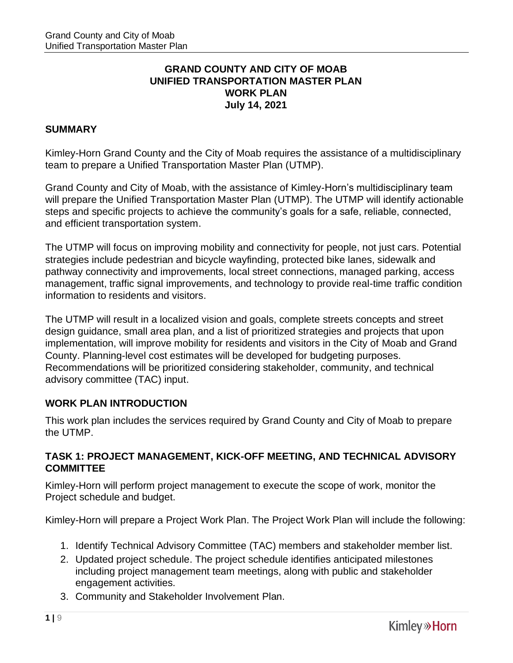## **GRAND COUNTY AND CITY OF MOAB UNIFIED TRANSPORTATION MASTER PLAN WORK PLAN July 14, 2021**

## **SUMMARY**

Kimley-Horn Grand County and the City of Moab requires the assistance of a multidisciplinary team to prepare a Unified Transportation Master Plan (UTMP).

Grand County and City of Moab, with the assistance of Kimley-Horn's multidisciplinary team will prepare the Unified Transportation Master Plan (UTMP). The UTMP will identify actionable steps and specific projects to achieve the community's goals for a safe, reliable, connected, and efficient transportation system.

The UTMP will focus on improving mobility and connectivity for people, not just cars. Potential strategies include pedestrian and bicycle wayfinding, protected bike lanes, sidewalk and pathway connectivity and improvements, local street connections, managed parking, access management, traffic signal improvements, and technology to provide real-time traffic condition information to residents and visitors.

The UTMP will result in a localized vision and goals, complete streets concepts and street design guidance, small area plan, and a list of prioritized strategies and projects that upon implementation, will improve mobility for residents and visitors in the City of Moab and Grand County. Planning-level cost estimates will be developed for budgeting purposes. Recommendations will be prioritized considering stakeholder, community, and technical advisory committee (TAC) input.

## **WORK PLAN INTRODUCTION**

This work plan includes the services required by Grand County and City of Moab to prepare the UTMP.

## **TASK 1: PROJECT MANAGEMENT, KICK-OFF MEETING, AND TECHNICAL ADVISORY COMMITTEE**

Kimley-Horn will perform project management to execute the scope of work, monitor the Project schedule and budget.

Kimley-Horn will prepare a Project Work Plan. The Project Work Plan will include the following:

- 1. Identify Technical Advisory Committee (TAC) members and stakeholder member list.
- 2. Updated project schedule. The project schedule identifies anticipated milestones including project management team meetings, along with public and stakeholder engagement activities.
- 3. Community and Stakeholder Involvement Plan.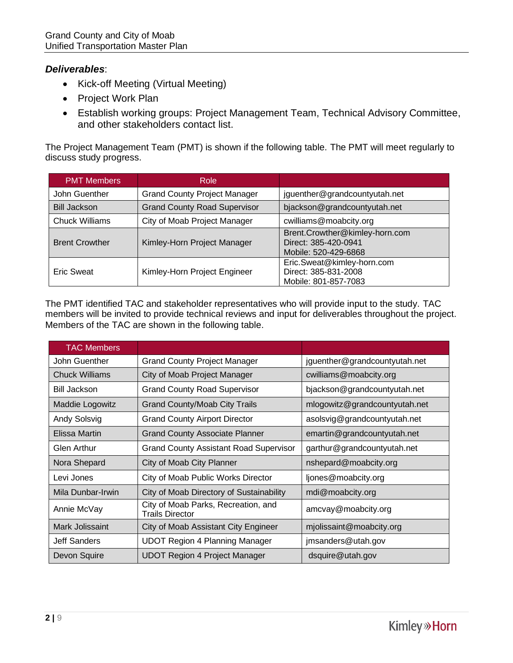## *Deliverables*:

- Kick-off Meeting (Virtual Meeting)
- Project Work Plan
- Establish working groups: Project Management Team, Technical Advisory Committee, and other stakeholders contact list.

The Project Management Team (PMT) is shown if the following table. The PMT will meet regularly to discuss study progress.

| <b>PMT Members</b>    | Role                                |                                                                                |  |  |  |
|-----------------------|-------------------------------------|--------------------------------------------------------------------------------|--|--|--|
| John Guenther         | <b>Grand County Project Manager</b> | jguenther@grandcountyutah.net                                                  |  |  |  |
| <b>Bill Jackson</b>   | <b>Grand County Road Supervisor</b> | bjackson@grandcountyutah.net                                                   |  |  |  |
| <b>Chuck Williams</b> | City of Moab Project Manager        | cwilliams@moabcity.org                                                         |  |  |  |
| <b>Brent Crowther</b> | Kimley-Horn Project Manager         | Brent.Crowther@kimley-horn.com<br>Direct: 385-420-0941<br>Mobile: 520-429-6868 |  |  |  |
| <b>Eric Sweat</b>     | Kimley-Horn Project Engineer        | Eric.Sweat@kimley-horn.com<br>Direct: 385-831-2008<br>Mobile: 801-857-7083     |  |  |  |

The PMT identified TAC and stakeholder representatives who will provide input to the study. TAC members will be invited to provide technical reviews and input for deliverables throughout the project. Members of the TAC are shown in the following table.

| <b>TAC Members</b>                                            |                                                               |                               |  |  |  |
|---------------------------------------------------------------|---------------------------------------------------------------|-------------------------------|--|--|--|
| John Guenther                                                 | <b>Grand County Project Manager</b>                           | jguenther@grandcountyutah.net |  |  |  |
| <b>Chuck Williams</b>                                         | City of Moab Project Manager                                  | cwilliams@moabcity.org        |  |  |  |
| <b>Bill Jackson</b>                                           | <b>Grand County Road Supervisor</b>                           | bjackson@grandcountyutah.net  |  |  |  |
| <b>Grand County/Moab City Trails</b><br>Maddie Logowitz       |                                                               | mlogowitz@grandcountyutah.net |  |  |  |
| Andy Solsvig                                                  | <b>Grand County Airport Director</b>                          | asolsvig@grandcountyutah.net  |  |  |  |
| Elissa Martin                                                 | <b>Grand County Associate Planner</b>                         | emartin@grandcountyutah.net   |  |  |  |
| <b>Glen Arthur</b>                                            | <b>Grand County Assistant Road Supervisor</b>                 | garthur@grandcountyutah.net   |  |  |  |
| Nora Shepard                                                  | City of Moab City Planner                                     | nshepard@moabcity.org         |  |  |  |
| Levi Jones                                                    | City of Moab Public Works Director                            | ljones@moabcity.org           |  |  |  |
| Mila Dunbar-Irwin<br>City of Moab Directory of Sustainability |                                                               | mdi@moabcity.org              |  |  |  |
| Annie McVay                                                   | City of Moab Parks, Recreation, and<br><b>Trails Director</b> | amcvay@moabcity.org           |  |  |  |
| Mark Jolissaint<br>City of Moab Assistant City Engineer       |                                                               | mjolissaint@moabcity.org      |  |  |  |
| Jeff Sanders                                                  | <b>UDOT Region 4 Planning Manager</b>                         | jmsanders@utah.gov            |  |  |  |
| Devon Squire                                                  | <b>UDOT Region 4 Project Manager</b>                          | dsquire@utah.gov              |  |  |  |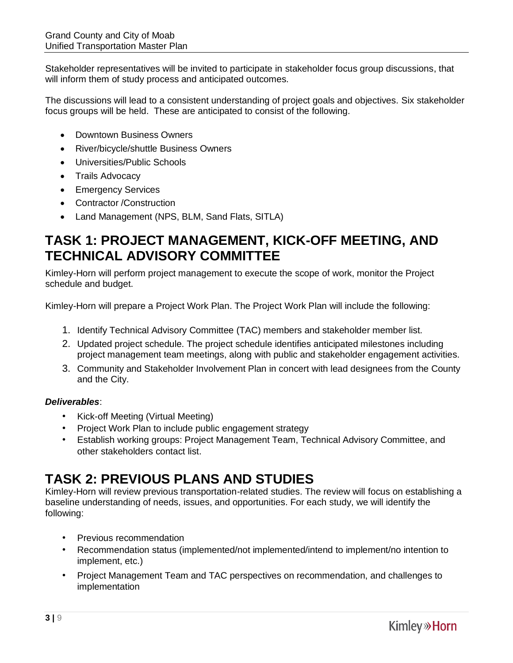Stakeholder representatives will be invited to participate in stakeholder focus group discussions, that will inform them of study process and anticipated outcomes.

The discussions will lead to a consistent understanding of project goals and objectives. Six stakeholder focus groups will be held. These are anticipated to consist of the following.

- Downtown Business Owners
- River/bicycle/shuttle Business Owners
- Universities/Public Schools
- Trails Advocacy
- Emergency Services
- Contractor /Construction
- Land Management (NPS, BLM, Sand Flats, SITLA)

## **TASK 1: PROJECT MANAGEMENT, KICK-OFF MEETING, AND TECHNICAL ADVISORY COMMITTEE**

Kimley-Horn will perform project management to execute the scope of work, monitor the Project schedule and budget.

Kimley-Horn will prepare a Project Work Plan. The Project Work Plan will include the following:

- 1. Identify Technical Advisory Committee (TAC) members and stakeholder member list.
- 2. Updated project schedule. The project schedule identifies anticipated milestones including project management team meetings, along with public and stakeholder engagement activities.
- 3. Community and Stakeholder Involvement Plan in concert with lead designees from the County and the City.

#### *Deliverables*:

- Kick-off Meeting (Virtual Meeting)
- Project Work Plan to include public engagement strategy
- Establish working groups: Project Management Team, Technical Advisory Committee, and other stakeholders contact list.

# **TASK 2: PREVIOUS PLANS AND STUDIES**

Kimley-Horn will review previous transportation-related studies. The review will focus on establishing a baseline understanding of needs, issues, and opportunities. For each study, we will identify the following:

- Previous recommendation
- Recommendation status (implemented/not implemented/intend to implement/no intention to implement, etc.)
- Project Management Team and TAC perspectives on recommendation, and challenges to implementation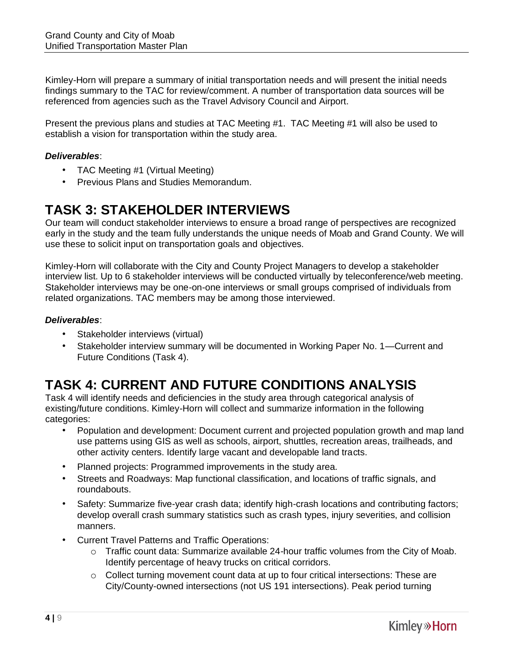Kimley-Horn will prepare a summary of initial transportation needs and will present the initial needs findings summary to the TAC for review/comment. A number of transportation data sources will be referenced from agencies such as the Travel Advisory Council and Airport.

Present the previous plans and studies at TAC Meeting #1. TAC Meeting #1 will also be used to establish a vision for transportation within the study area.

#### *Deliverables*:

- TAC Meeting #1 (Virtual Meeting)
- Previous Plans and Studies Memorandum.

## **TASK 3: STAKEHOLDER INTERVIEWS**

Our team will conduct stakeholder interviews to ensure a broad range of perspectives are recognized early in the study and the team fully understands the unique needs of Moab and Grand County. We will use these to solicit input on transportation goals and objectives.

Kimley-Horn will collaborate with the City and County Project Managers to develop a stakeholder interview list. Up to 6 stakeholder interviews will be conducted virtually by teleconference/web meeting. Stakeholder interviews may be one-on-one interviews or small groups comprised of individuals from related organizations. TAC members may be among those interviewed.

#### *Deliverables*:

- Stakeholder interviews (virtual)
- Stakeholder interview summary will be documented in Working Paper No. 1—Current and Future Conditions (Task 4).

# **TASK 4: CURRENT AND FUTURE CONDITIONS ANALYSIS**

Task 4 will identify needs and deficiencies in the study area through categorical analysis of existing/future conditions. Kimley-Horn will collect and summarize information in the following categories:

- Population and development: Document current and projected population growth and map land use patterns using GIS as well as schools, airport, shuttles, recreation areas, trailheads, and other activity centers. Identify large vacant and developable land tracts.
- Planned projects: Programmed improvements in the study area.
- Streets and Roadways: Map functional classification, and locations of traffic signals, and roundabouts.
- Safety: Summarize five-year crash data; identify high-crash locations and contributing factors; develop overall crash summary statistics such as crash types, injury severities, and collision manners.
- Current Travel Patterns and Traffic Operations:
	- o Traffic count data: Summarize available 24-hour traffic volumes from the City of Moab. Identify percentage of heavy trucks on critical corridors.
	- o Collect turning movement count data at up to four critical intersections: These are City/County-owned intersections (not US 191 intersections). Peak period turning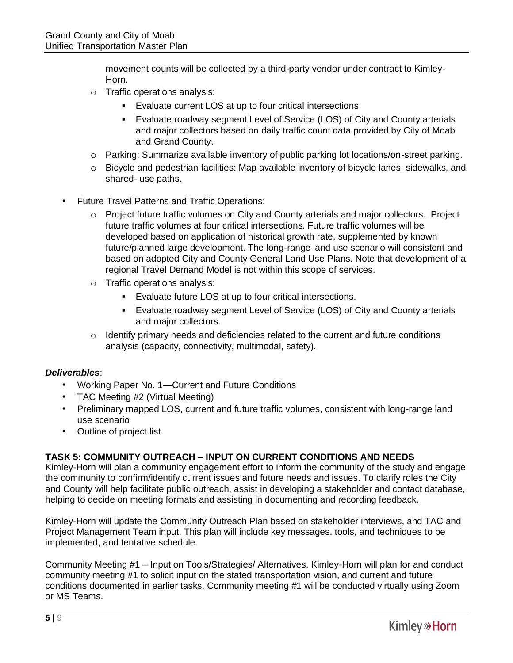movement counts will be collected by a third-party vendor under contract to Kimley-Horn.

- o Traffic operations analysis:
	- Evaluate current LOS at up to four critical intersections.
	- Evaluate roadway segment Level of Service (LOS) of City and County arterials and major collectors based on daily traffic count data provided by City of Moab and Grand County.
- o Parking: Summarize available inventory of public parking lot locations/on-street parking.
- o Bicycle and pedestrian facilities: Map available inventory of bicycle lanes, sidewalks, and shared- use paths.
- Future Travel Patterns and Traffic Operations:
	- o Project future traffic volumes on City and County arterials and major collectors. Project future traffic volumes at four critical intersections. Future traffic volumes will be developed based on application of historical growth rate, supplemented by known future/planned large development. The long-range land use scenario will consistent and based on adopted City and County General Land Use Plans. Note that development of a regional Travel Demand Model is not within this scope of services.
	- o Traffic operations analysis:
		- Evaluate future LOS at up to four critical intersections.
		- Evaluate roadway segment Level of Service (LOS) of City and County arterials and major collectors.
	- $\circ$  Identify primary needs and deficiencies related to the current and future conditions analysis (capacity, connectivity, multimodal, safety).

#### *Deliverables*:

- Working Paper No. 1—Current and Future Conditions
- TAC Meeting #2 (Virtual Meeting)
- Preliminary mapped LOS, current and future traffic volumes, consistent with long-range land use scenario
- Outline of project list

#### **TASK 5: COMMUNITY OUTREACH – INPUT ON CURRENT CONDITIONS AND NEEDS**

Kimley-Horn will plan a community engagement effort to inform the community of the study and engage the community to confirm/identify current issues and future needs and issues. To clarify roles the City and County will help facilitate public outreach, assist in developing a stakeholder and contact database, helping to decide on meeting formats and assisting in documenting and recording feedback.

Kimley-Horn will update the Community Outreach Plan based on stakeholder interviews, and TAC and Project Management Team input. This plan will include key messages, tools, and techniques to be implemented, and tentative schedule.

Community Meeting #1 – Input on Tools/Strategies/ Alternatives. Kimley-Horn will plan for and conduct community meeting #1 to solicit input on the stated transportation vision, and current and future conditions documented in earlier tasks. Community meeting #1 will be conducted virtually using Zoom or MS Teams.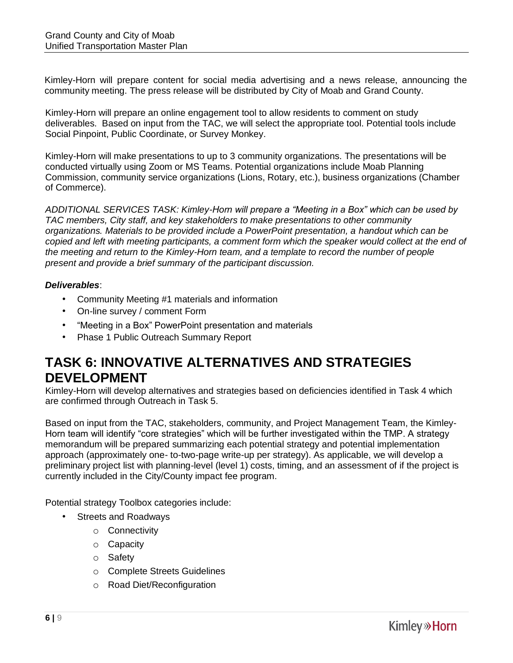Kimley-Horn will prepare content for social media advertising and a news release, announcing the community meeting. The press release will be distributed by City of Moab and Grand County.

Kimley-Horn will prepare an online engagement tool to allow residents to comment on study deliverables. Based on input from the TAC, we will select the appropriate tool. Potential tools include Social Pinpoint, Public Coordinate, or Survey Monkey.

Kimley-Horn will make presentations to up to 3 community organizations. The presentations will be conducted virtually using Zoom or MS Teams. Potential organizations include Moab Planning Commission, community service organizations (Lions, Rotary, etc.), business organizations (Chamber of Commerce).

*ADDITIONAL SERVICES TASK: Kimley-Horn will prepare a "Meeting in a Box" which can be used by TAC members, City staff, and key stakeholders to make presentations to other community organizations. Materials to be provided include a PowerPoint presentation, a handout which can be copied and left with meeting participants, a comment form which the speaker would collect at the end of the meeting and return to the Kimley-Horn team, and a template to record the number of people present and provide a brief summary of the participant discussion.* 

#### *Deliverables*:

- Community Meeting #1 materials and information
- On-line survey / comment Form
- "Meeting in a Box" PowerPoint presentation and materials
- Phase 1 Public Outreach Summary Report

## **TASK 6: INNOVATIVE ALTERNATIVES AND STRATEGIES DEVELOPMENT**

Kimley-Horn will develop alternatives and strategies based on deficiencies identified in Task 4 which are confirmed through Outreach in Task 5.

Based on input from the TAC, stakeholders, community, and Project Management Team, the Kimley-Horn team will identify "core strategies" which will be further investigated within the TMP. A strategy memorandum will be prepared summarizing each potential strategy and potential implementation approach (approximately one- to-two-page write-up per strategy). As applicable, we will develop a preliminary project list with planning-level (level 1) costs, timing, and an assessment of if the project is currently included in the City/County impact fee program.

Potential strategy Toolbox categories include:

- Streets and Roadways
	- o Connectivity
	- o Capacity
	- o Safety
	- o Complete Streets Guidelines
	- o Road Diet/Reconfiguration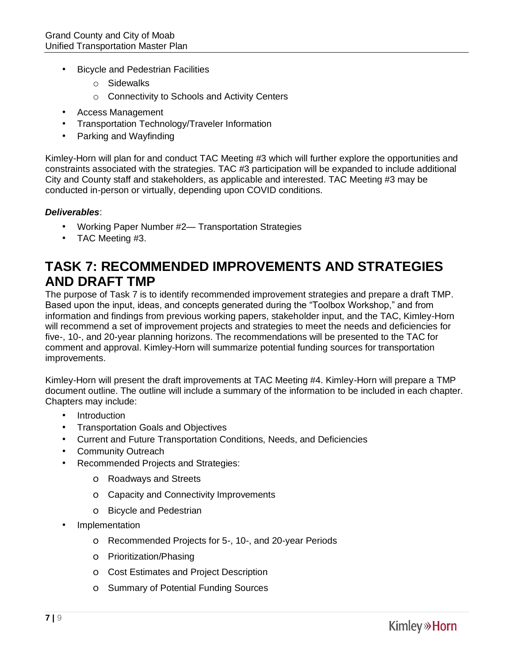- Bicycle and Pedestrian Facilities
	- o Sidewalks
	- o Connectivity to Schools and Activity Centers
- Access Management
- Transportation Technology/Traveler Information
- Parking and Wayfinding

Kimley-Horn will plan for and conduct TAC Meeting #3 which will further explore the opportunities and constraints associated with the strategies. TAC #3 participation will be expanded to include additional City and County staff and stakeholders, as applicable and interested. TAC Meeting #3 may be conducted in-person or virtually, depending upon COVID conditions.

#### *Deliverables*:

- Working Paper Number #2— Transportation Strategies
- TAC Meeting #3.

## **TASK 7: RECOMMENDED IMPROVEMENTS AND STRATEGIES AND DRAFT TMP**

The purpose of Task 7 is to identify recommended improvement strategies and prepare a draft TMP. Based upon the input, ideas, and concepts generated during the "Toolbox Workshop," and from information and findings from previous working papers, stakeholder input, and the TAC, Kimley-Horn will recommend a set of improvement projects and strategies to meet the needs and deficiencies for five-, 10-, and 20-year planning horizons. The recommendations will be presented to the TAC for comment and approval. Kimley-Horn will summarize potential funding sources for transportation improvements.

Kimley-Horn will present the draft improvements at TAC Meeting #4. Kimley-Horn will prepare a TMP document outline. The outline will include a summary of the information to be included in each chapter. Chapters may include:

- **Introduction**
- Transportation Goals and Objectives
- Current and Future Transportation Conditions, Needs, and Deficiencies
- Community Outreach
- Recommended Projects and Strategies:
	- o Roadways and Streets
	- o Capacity and Connectivity Improvements
	- o Bicycle and Pedestrian
- Implementation
	- o Recommended Projects for 5-, 10-, and 20-year Periods
	- o Prioritization/Phasing
	- o Cost Estimates and Project Description
	- o Summary of Potential Funding Sources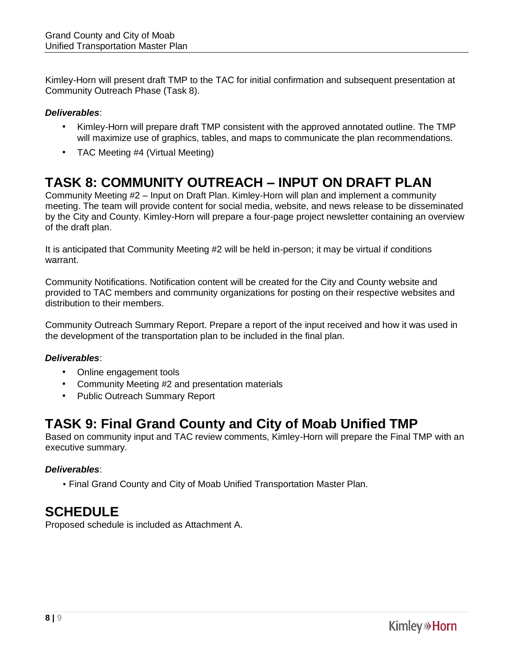Kimley-Horn will present draft TMP to the TAC for initial confirmation and subsequent presentation at Community Outreach Phase (Task 8).

## *Deliverables*:

- Kimley-Horn will prepare draft TMP consistent with the approved annotated outline. The TMP will maximize use of graphics, tables, and maps to communicate the plan recommendations.
- TAC Meeting #4 (Virtual Meeting)

# **TASK 8: COMMUNITY OUTREACH – INPUT ON DRAFT PLAN**

Community Meeting #2 – Input on Draft Plan. Kimley-Horn will plan and implement a community meeting. The team will provide content for social media, website, and news release to be disseminated by the City and County. Kimley-Horn will prepare a four-page project newsletter containing an overview of the draft plan.

It is anticipated that Community Meeting #2 will be held in-person; it may be virtual if conditions warrant.

Community Notifications. Notification content will be created for the City and County website and provided to TAC members and community organizations for posting on their respective websites and distribution to their members.

Community Outreach Summary Report. Prepare a report of the input received and how it was used in the development of the transportation plan to be included in the final plan.

## *Deliverables*:

- Online engagement tools
- Community Meeting #2 and presentation materials
- Public Outreach Summary Report

# **TASK 9: Final Grand County and City of Moab Unified TMP**

Based on community input and TAC review comments, Kimley-Horn will prepare the Final TMP with an executive summary.

## *Deliverables*:

• Final Grand County and City of Moab Unified Transportation Master Plan.

# **SCHEDULE**

Proposed schedule is included as Attachment A.